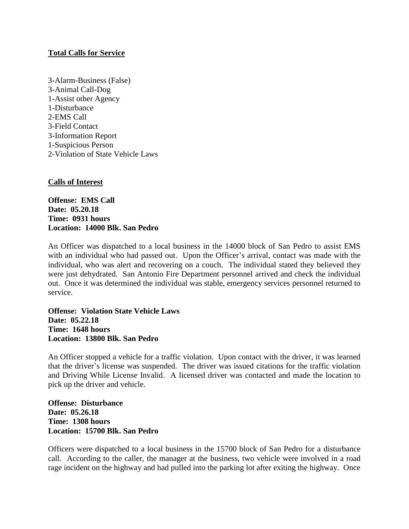## **Total Calls for Service**

3-Alarm-Business (False) 3-Animal Call-Dog 1-Assist other Agency 1-Disturbance 2-EMS Call 3-Field Contact 3-Information Report 1-Suspicious Person 2-Violation of State Vehicle Laws

## **Calls of Interest**

**Offense: EMS Call Date: 05.20.18 Time: 0931 hours Location: 14000 Blk. San Pedro**

An Officer was dispatched to a local business in the 14000 block of San Pedro to assist EMS with an individual who had passed out. Upon the Officer's arrival, contact was made with the individual, who was alert and recovering on a couch. The individual stated they believed they were just dehydrated. San Antonio Fire Department personnel arrived and check the individual out. Once it was determined the individual was stable, emergency services personnel returned to service.

**Offense: Violation State Vehicle Laws Date: 05.22.18 Time: 1648 hours Location: 13800 Blk. San Pedro**

An Officer stopped a vehicle for a traffic violation. Upon contact with the driver, it was learned that the driver's license was suspended. The driver was issued citations for the traffic violation and Driving While License Invalid. A licensed driver was contacted and made the location to pick up the driver and vehicle.

**Offense: Disturbance Date: 05.26.18 Time: 1308 hours Location: 15700 Blk. San Pedro**

Officers were dispatched to a local business in the 15700 block of San Pedro for a disturbance call. According to the caller, the manager at the business, two vehicle were involved in a road rage incident on the highway and had pulled into the parking lot after exiting the highway. Once